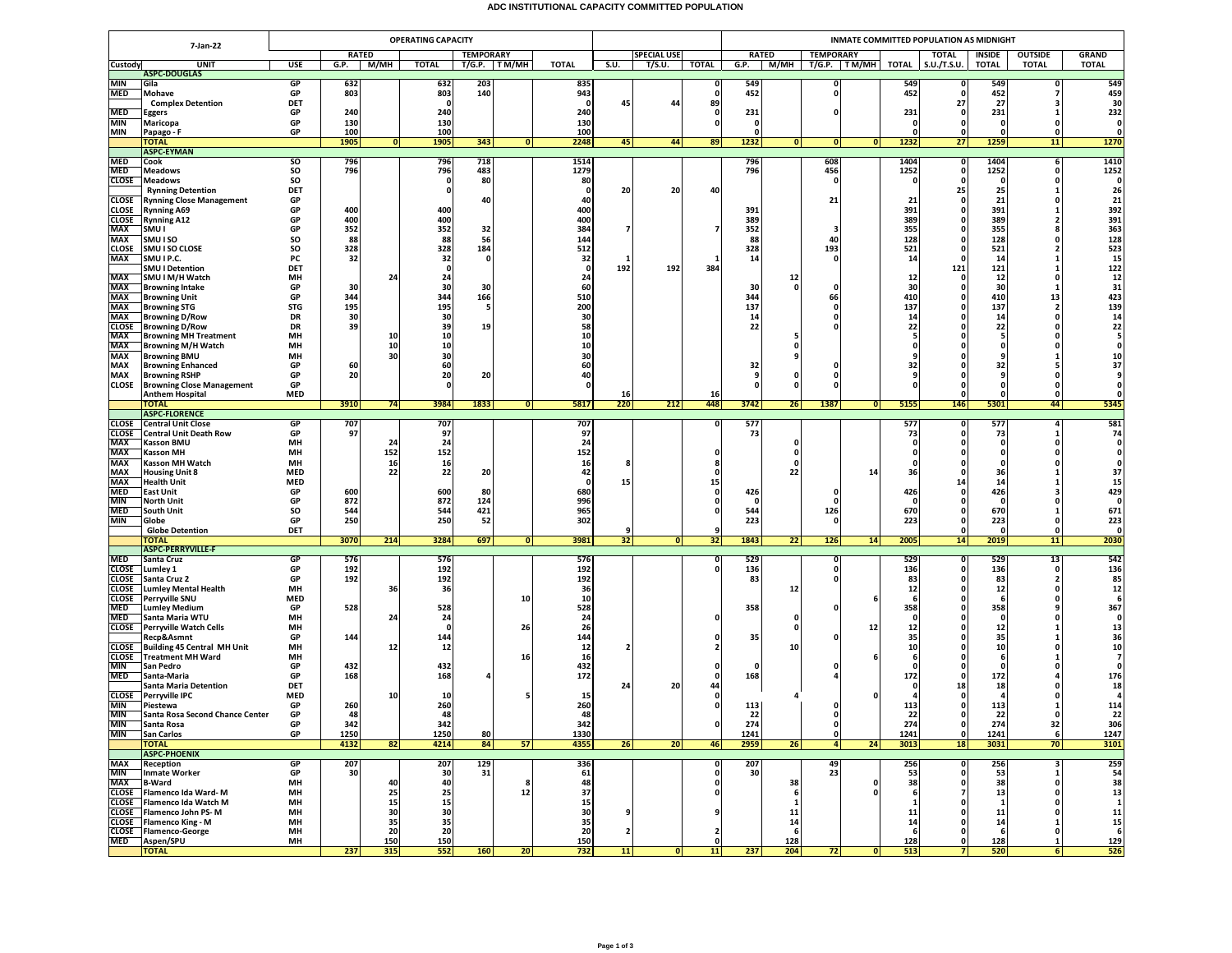## **ADC INSTITUTIONAL CAPACITY COMMITTED POPULATION**

|                            |                                                                | <b>OPERATING CAPACITY</b> |            |              |                    |                 |              |              |                         |        |              | INMATE COMMITTED POPULATION AS MIDNIGHT |                          |                   |                  |               |                          |                            |                                |  |  |
|----------------------------|----------------------------------------------------------------|---------------------------|------------|--------------|--------------------|-----------------|--------------|--------------|-------------------------|--------|--------------|-----------------------------------------|--------------------------|-------------------|------------------|---------------|--------------------------|----------------------------|--------------------------------|--|--|
| 7-Jan-22                   |                                                                |                           |            | <b>RATED</b> | <b>TEMPORARY</b>   |                 |              |              | <b>SPECIAL USE</b>      |        |              | <b>RATED</b>                            |                          | <b>TEMPORARY</b>  | <b>TOTAL</b>     |               | <b>OUTSIDE</b><br>INSIDE |                            | <b>GRAND</b>                   |  |  |
| Custody                    | <b>UNIT</b>                                                    | USE                       | G.P.       | М/МН         | <b>TOTAL</b>       |                 | T/G.P. TM/MH | TOTAL        | S.U.                    | T/S.U. | <b>TOTAL</b> | G.P.                                    | M/MH                     | T/G.P.   TM/MH    | TOTAL            | S.U./T.S.U.   | <b>TOTAL</b>             | <b>TOTAL</b>               | <b>TOTAL</b>                   |  |  |
| MIN                        | <b>ASPC-DOUGLAS</b><br>Gila                                    | GP                        |            |              |                    | 203             |              | 835          |                         |        |              | 549                                     |                          | 0                 | 549              |               | 549                      | $\Omega$                   |                                |  |  |
| MED                        | Mohave                                                         | GP                        | 632<br>803 |              | 632<br>803         | 140             |              | 943          |                         |        | 0<br>0       | 452                                     |                          | $\mathbf{0}$      | 452              |               | 452                      |                            | 549<br>459                     |  |  |
|                            | <b>Complex Detention</b>                                       | DET                       |            |              | - 0                |                 |              | - 0          | 45                      | 44     | 89           |                                         |                          |                   |                  | 27            | 27                       | ٦                          | 30                             |  |  |
| MED                        | Eggers                                                         | GP                        | 240        |              | 240                |                 |              | 240          |                         |        | - 0          | 231                                     |                          | ŋ                 | 231              | n             | 231                      |                            | 232                            |  |  |
| MIN<br>MIN                 | Maricopa<br>Papago - F                                         | GP<br>GP                  | 130<br>100 |              | 130<br>100         |                 |              | 130<br>100   |                         |        | o            | $\mathbf{0}$<br>0                       |                          |                   |                  | $\Omega$      |                          |                            | $\mathbf{0}$<br>0              |  |  |
|                            | <b>TOTAL</b>                                                   |                           | 1905       | 0            | 1905               | 343             | 0            | 2248         | 45                      | 44     | 89           | 1232                                    | 0                        | 0 <br> 0          | 1232             | 27            | 1259                     | 11                         | 1270                           |  |  |
|                            | <b>ASPC-EYMAN</b>                                              |                           |            |              |                    |                 |              |              |                         |        |              |                                         |                          |                   |                  |               |                          |                            |                                |  |  |
| <b>MED</b><br><b>MED</b>   | Cook<br><b>Meadows</b>                                         | so<br>SO                  | 796<br>796 |              | 796<br>796         | 718<br>483      |              | 1514<br>1279 |                         |        |              | 796<br>796                              |                          | 608<br>456        | 1404<br>1252     | 0<br>$\Omega$ | 1404<br>1252             | 6<br>$\Omega$              | 1410<br>1252                   |  |  |
| CLOSE                      | <b>Meadows</b>                                                 | SO                        |            |              | 0                  | 80              |              | 80           |                         |        |              |                                         |                          | 0                 |                  |               | 0                        | 0                          | $\mathbf{0}$                   |  |  |
|                            | <b>Rynning Detention</b>                                       | DET                       |            |              | 0                  |                 |              | -0           | 20                      | 20     | 40           |                                         |                          |                   |                  | 25            | 25                       |                            | 26                             |  |  |
| CLOSE<br>CLOSE             | <b>Rynning Close Management</b>                                | GP<br>GP                  | 400        |              | 400                | 40              |              | 40<br>400    |                         |        |              | 391                                     |                          | 21                | 21<br>391        |               | 21<br>391                | $\Omega$                   | 21<br>392                      |  |  |
| <b>CLOSE</b>               | <b>Rynning A69</b><br><b>Rynning A12</b>                       | GP                        | 400        |              | 400                |                 |              | 400          |                         |        |              | 389                                     |                          |                   | 389              |               | 389                      | 2                          | 391                            |  |  |
| MAX                        | SMU I                                                          | GP                        | 352        |              | 352                | 32              |              | 384          |                         |        | 7            | 352                                     |                          | 3                 | 355              | n             | 355                      |                            | 363                            |  |  |
| MAX                        | SMU I SO                                                       | SO                        | 88         |              | 88                 | 56              |              | 144          |                         |        |              | 88                                      |                          | 40                | 128              |               | 128                      |                            | 128                            |  |  |
| <b>CLOSE</b><br><b>MAX</b> | SMU I SO CLOSE<br>SMU I P.C.                                   | SO<br>PC                  | 328<br>32  |              | 328<br>32          | 184<br>$\Omega$ |              | 512<br>32    | 1                       |        |              | 328<br>14                               |                          | 193<br>0          | 521<br>14        | $\Omega$<br>0 | 521<br>14                |                            | 523<br>15                      |  |  |
|                            | <b>SMU I Detention</b>                                         | DET                       |            |              | $\mathbf 0$        |                 |              | 0            | 192                     | 192    | 384          |                                         |                          |                   |                  | 121           | 121                      |                            | 122                            |  |  |
| <b>MAX</b>                 | SMU I M/H Watch                                                | MH                        |            | 24           | 24                 |                 |              | 24           |                         |        |              |                                         | 12                       |                   | 12               |               | 12                       | 0                          | 12                             |  |  |
| MAX                        | <b>Browning Intake</b>                                         | GP<br>GP                  | 30<br>344  |              | 30                 | 30              |              | 60<br>510    |                         |        |              | 30<br>344                               | $\mathbf{0}$             | $\Omega$          | 30<br>410        | n             | 30                       | -1<br>13                   | 31<br>423                      |  |  |
| MAX<br>MAX                 | <b>Browning Unit</b><br><b>Browning STG</b>                    | <b>STG</b>                | 195        |              | 344<br>195         | 166<br>-5       |              | 200          |                         |        |              | 137                                     |                          | 66<br>0           | 137              |               | 410<br>137               | $\overline{2}$             | 139                            |  |  |
| MAX                        | <b>Browning D/Row</b>                                          | DR                        | 30         |              | 30                 |                 |              | 30           |                         |        |              | 14                                      |                          |                   | 14               |               | 14                       |                            | 14                             |  |  |
| <b>CLOSE</b><br>MAX        | <b>Browning D/Row</b><br><b>Browning MH Treatment</b>          | <b>DR</b><br>MH           | 39         | 10           | 39<br>10           | 19              |              | 58<br>10     |                         |        |              | 22                                      |                          |                   | 22               |               | 22<br>-5                 | $\Omega$                   | 22<br>5                        |  |  |
| MAX                        | <b>Browning M/H Watch</b>                                      | MH                        |            | 10           | 10                 |                 |              | 10           |                         |        |              |                                         | -5<br>0                  |                   |                  |               |                          |                            |                                |  |  |
| MAX                        | <b>Browning BMU</b>                                            | MH                        |            | 30           | 30                 |                 |              | 30           |                         |        |              |                                         | 9                        |                   |                  |               |                          |                            | 10                             |  |  |
| MAX                        | <b>Browning Enhanced</b>                                       | GP                        | 60         |              | 60                 |                 |              | 60           |                         |        |              | 32                                      |                          | o                 | 32               |               | 32                       |                            | 37                             |  |  |
| MAX<br>CLOSE               | <b>Browning RSHP</b><br><b>Browning Close Management</b>       | GP<br>GP                  | 20         |              | 20<br>$\Omega$     | 20              |              | 40<br>O      |                         |        |              | 9<br>$\Omega$                           | 0<br>$\Omega$            | 0<br>0            |                  |               | 9                        | 0<br>$\mathbf{0}$          | 0                              |  |  |
|                            | <b>Anthem Hospital</b>                                         | <b>MED</b>                |            |              |                    |                 |              |              | 16                      |        | 16           |                                         |                          |                   |                  |               | $\Omega$                 | $\mathbf{0}$               |                                |  |  |
|                            | <b>TOTAL</b>                                                   |                           | 3910       | 74           | 3984               | 1833            | 0            | 5817         | 220                     | 212    | 448          | 3742                                    | 26                       | 1387<br> 0        | 5155             | 146           | 5301                     | 44                         | 5345                           |  |  |
| <b>CLOSE</b>               | <b>ASPC-FLORENCE</b><br><b>Central Unit Close</b>              | <b>GP</b>                 | 707        |              | 707                |                 |              | 707          |                         |        | 0            | 577                                     |                          |                   | 577              | 0             | 577                      | 4                          | 581                            |  |  |
| <b>CLOSE</b>               | <b>Central Unit Death Row</b>                                  | GP                        | 97         |              | 97                 |                 |              | 97           |                         |        |              | 73                                      |                          |                   | 73               | 0             | 73                       |                            | 74                             |  |  |
| MAX                        | <b>Kasson BMU</b>                                              | MH                        |            | 24           | 24                 |                 |              | 24           |                         |        |              |                                         | 0                        |                   |                  |               | 0                        |                            | $\mathbf{0}$                   |  |  |
| MAX<br>MAX                 | <b>Kasson MH</b>                                               | MH<br>MH                  |            | 152          | 152                |                 |              | 152          |                         |        | 0            |                                         | $\mathbf{0}$<br>$\Omega$ |                   |                  |               | $\Omega$                 | $\Omega$                   |                                |  |  |
| MAX                        | <b>Kasson MH Watch</b><br><b>Housing Unit 8</b>                | <b>MED</b>                |            | 16<br>22     | 16<br>22           | 20              |              | 16<br>42     |                         |        | n            |                                         | 22                       | 14                | 36               | n             | 36                       |                            | 37                             |  |  |
| <b>MAX</b>                 | <b>Health Unit</b>                                             | <b>MED</b>                |            |              |                    |                 |              | -0           | 15                      |        | 15           |                                         |                          |                   |                  | 14            | 14                       |                            | 15                             |  |  |
| <b>MED</b>                 | <b>East Unit</b>                                               | GP                        | 600        |              | 600                | 80              |              | 680          |                         |        | 0            | 426                                     |                          | $\Omega$          | 426              |               | 426                      |                            | 429                            |  |  |
| <b>MIN</b><br><b>MED</b>   | <b>North Unit</b><br>South Unit                                | GP<br>SO                  | 872<br>544 |              | 872<br>544         | 124<br>421      |              | 996<br>965   |                         |        | 0<br>0       | 0<br>544                                |                          | $\Omega$<br>126   | 670              |               | 0<br>670                 |                            | $\mathbf 0$<br>671             |  |  |
| MIN                        | Globe                                                          | GP                        | 250        |              | 250                | 52              |              | 302          |                         |        |              | 223                                     |                          | $\mathbf{0}$      | 223              | n             | 223                      | $\Omega$                   | 223                            |  |  |
|                            | <b>Globe Detention</b>                                         | DET                       |            |              |                    |                 |              |              | 9                       |        | 9            |                                         |                          |                   |                  | n             | $\Omega$                 | $\Omega$                   | $\mathbf{0}$                   |  |  |
|                            | ΌΤΑΙ<br><b>ASPC-PERRYVILLE-F</b>                               |                           | 3070       | 214          | 3284               | 697             | 0            | 3981         | 32                      | 0      | 32           | 1843                                    | 22                       | 126<br>14         | 2005             | 14            | 2019                     | 11                         | 2030                           |  |  |
| MED                        | Santa Cruz                                                     | GP                        | 576        |              | 576                |                 |              | 576          |                         |        | 0            | 529                                     |                          | $\mathbf{0}$      | 529              | $\mathbf{0}$  | 529                      | 13                         | 542                            |  |  |
| CLOSE                      | Lumley 1                                                       | GP                        | 192        |              | 192                |                 |              | 192          |                         |        | o            | 136                                     |                          | 0                 | 136              |               | 136                      | $\Omega$                   | 136                            |  |  |
| CLOSE<br><b>CLOSE</b>      | Santa Cruz 2<br><b>Lumley Mental Health</b>                    | GP<br>MH                  | 192        | 36           | 192<br>36          |                 |              | 192<br>36    |                         |        |              | 83                                      | 12                       | 0                 | 83<br>12         | n             | 83<br>12                 | $\overline{2}$<br>$\Omega$ | 85<br>12                       |  |  |
| CLOSE                      | <b>Perryville SNU</b>                                          | <b>MED</b>                |            |              |                    |                 | 10           | 10           |                         |        |              |                                         |                          |                   |                  |               | -6                       | $\Omega$                   | 6                              |  |  |
| MED                        | <b>Lumley Medium</b>                                           | GP                        | 528        |              | 528                |                 |              | 528          |                         |        |              | 358                                     |                          |                   | 358              |               | 358                      |                            | 367                            |  |  |
| <b>MED</b>                 | Santa Maria WTU                                                | MH<br>MH                  |            | 24           | 24<br>$\mathbf{0}$ |                 |              | 24<br>26     |                         |        | o            |                                         | 0<br>$\mathbf{0}$        | 12                |                  |               | 0<br>12                  |                            | $\mathbf{0}$                   |  |  |
|                            | <b>CLOSE</b> Perryville Watch Cells<br>Recp&Asmnt              | GP                        | 144        |              | 144                |                 | 26           | 144          |                         |        | 0            | 35                                      |                          | ŋ                 | ${\bf 12}$<br>35 |               | 35                       |                            | 13<br>36                       |  |  |
| <b>CLOSE</b>               | Building 45 Central MH Unit                                    | MН                        |            | 12           | 12                 |                 |              | 12           |                         |        |              |                                         | 10                       |                   | 10               |               | 10                       | 0                          | 10                             |  |  |
|                            | <b>CLOSE</b> Treatment MH Ward                                 | MH                        |            |              |                    |                 | 16           | 16           |                         |        |              |                                         |                          |                   |                  |               | -6                       |                            | $\overline{7}$<br>$\mathbf{o}$ |  |  |
| <b>MIN</b><br>MED          | San Pedro<br>Santa-Maria                                       | GP<br>GP                  | 432<br>168 |              | 432<br>168         |                 |              | 432<br>172   |                         |        | 0            | $\Omega$<br>168                         |                          |                   | 172              |               | 0<br>172                 |                            | 176                            |  |  |
|                            | <b>Santa Maria Detention</b>                                   | DET                       |            |              |                    |                 |              |              | 24                      | 20     | 44           |                                         |                          |                   |                  | 18            | 18                       |                            | 18                             |  |  |
|                            | <b>CLOSE</b> Perryville IPC                                    | <b>MED</b>                |            | 10           | 10                 |                 |              | 15           |                         |        | 0            |                                         |                          |                   |                  |               |                          |                            |                                |  |  |
| MIN<br>MIN                 | Piestewa<br>Santa Rosa Second Chance Center                    | GP<br>GP                  | 260<br>48  |              | 260<br>48          |                 |              | 260<br>48    |                         |        | $\Omega$     | 113<br>22                               |                          | 0<br>$\mathbf{0}$ | 113<br>22        | n             | 113<br>22                | 0                          | 114<br>22                      |  |  |
| MIN                        | Santa Rosa                                                     | GP                        | 342        |              | 342                |                 |              | 342          |                         |        |              | 274                                     |                          | $\mathbf{0}$      | 274              |               | 274                      | 32                         | 306                            |  |  |
| MIN                        | <b>San Carlos</b>                                              | GP                        | 1250       |              | 1250               | 80              |              | 1330         |                         |        |              | 1241                                    |                          | $\mathbf{0}$      | 1241             | $\mathbf{0}$  | 1241                     | 6                          | 1247                           |  |  |
|                            | <b>TOTAL</b><br><b>ASPC-PHOENIX</b>                            |                           | 4132       | 82           | 4214               | 84              | 57           | 4355         | 26                      | 20     | 46           | 2959                                    | 26                       | $\vert$<br>24     | 3013             | 18            | 3031                     | 70                         | 3101                           |  |  |
| MAX                        | Reception                                                      | GP                        | 207        |              | 207                | 129             |              | 336          |                         |        | o            | 207                                     |                          | $\overline{49}$   | 256              | $\Omega$      | 256                      |                            | 259                            |  |  |
| MIN                        | <b>Inmate Worker</b>                                           | GP                        | 30         |              | 30                 | 31              |              | 61           |                         |        | o            | 30                                      |                          | 23                | 53               |               | 53                       | -1                         | 54                             |  |  |
| <b>MAX</b>                 | <b>B-Ward</b>                                                  | MH                        |            | 40           | 40                 |                 | 8            | 48           |                         |        | 0            |                                         | 38                       | 0                 | 38               | 0             | 38                       | 0                          | 38                             |  |  |
|                            | CLOSE Flamenco Ida Ward-M<br><b>CLOSE</b> Flamenco Ida Watch M | MH<br>MH                  |            | 25<br>15     | 25<br>15           |                 | 12           | 37<br>15     |                         |        | 0            |                                         | 6<br>1                   |                   |                  |               | 13<br>-1                 |                            | 13<br>$\mathbf{1}$             |  |  |
|                            | CLOSE Flamenco John PS-M                                       | MH                        |            | 30           | 30                 |                 |              | 30           | 9                       |        | 9            |                                         | 11                       |                   | 11               |               | 11                       | $\Omega$                   | 11                             |  |  |
|                            |                                                                | MH                        |            | 35           | 35                 |                 |              | 35           |                         |        |              |                                         | 14                       |                   | 14               | n             | 14                       | -1                         | 15                             |  |  |
|                            | CLOSE Flamenco King - M                                        |                           |            |              |                    |                 |              |              |                         |        |              |                                         |                          |                   |                  |               |                          |                            |                                |  |  |
| MED                        | CLOSE Flamenco-George<br>Aspen/SPU                             | MH<br>MH                  |            | 20<br>150    | 20<br>150          |                 |              | 20<br>150    | $\overline{\mathbf{2}}$ |        | 2<br>o       |                                         | 6<br>128                 |                   | -6<br>128        | n<br>n        | -6<br>128                | $\Omega$<br>$\mathbf{1}$   | - 6<br>129                     |  |  |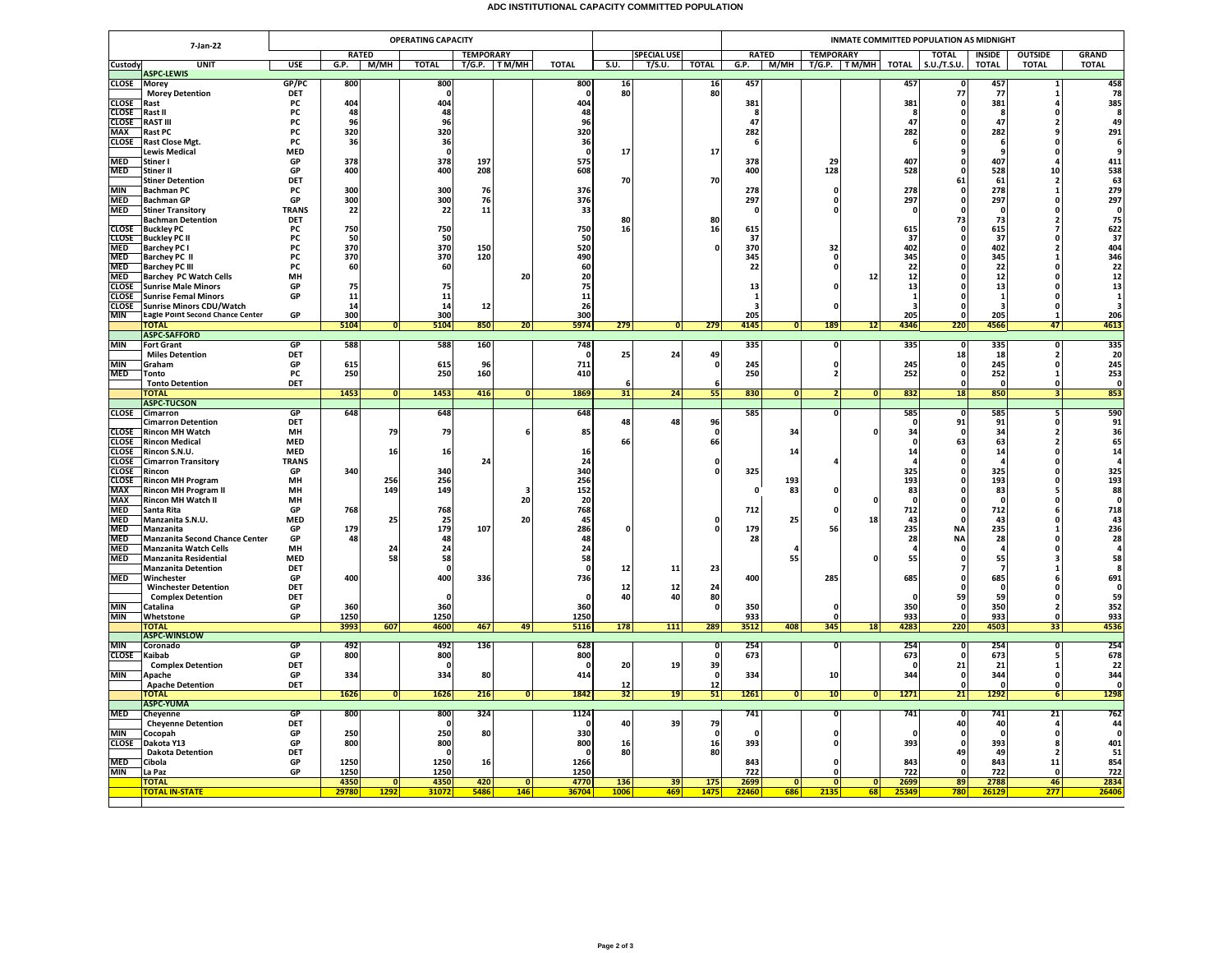## **ADC INSTITUTIONAL CAPACITY COMMITTED POPULATION**

|                              | <b>OPERATING CAPACITY</b><br>7-Jan-22                          |                    |           |                |                     |                     |                 |              |          |                    | INMATE COMMITTED POPULATION AS MIDNIGHT |                   |                |                         |                |                                         |                    |                    |                      |                                         |  |
|------------------------------|----------------------------------------------------------------|--------------------|-----------|----------------|---------------------|---------------------|-----------------|--------------|----------|--------------------|-----------------------------------------|-------------------|----------------|-------------------------|----------------|-----------------------------------------|--------------------|--------------------|----------------------|-----------------------------------------|--|
|                              |                                                                |                    |           | <b>RATED</b>   |                     | <b>TEMPORARY</b>    |                 |              |          | <b>SPECIAL USE</b> |                                         |                   | <b>RATED</b>   | <b>TEMPORARY</b>        |                |                                         | <b>TOTAL</b>       | <b>INSIDE</b>      | <b>OUTSIDE</b>       | <b>GRAND</b>                            |  |
| Custody                      | <b>UNIT</b><br><b>ASPC-LEWIS</b>                               | <b>USE</b>         | G.P.      | M/MH           | <b>TOTAL</b>        | <b>T/G.P.</b> TM/MH |                 | <b>TOTAL</b> | S.U.     | T/S.U.             | <b>TOTAL</b>                            | G.P.              |                | M/MH T/G.P. TM/MH TOTAL |                |                                         | S.U./T.S.U.        | <b>TOTAL</b>       | <b>TOTAL</b>         | <b>TOTAL</b>                            |  |
| <b>CLOSE</b>                 | Morey                                                          | GP/PC              | 800       |                | 800                 |                     |                 | 800          | 16       |                    | $\frac{16}{80}$                         | 457               |                |                         |                | 457                                     |                    | 457                |                      | $\frac{458}{78}$                        |  |
| <b>CLOSE</b>                 | <b>Morey Detention</b><br>Rast                                 | DET<br><b>PC</b>   | 404       |                | $\Omega$<br>404     |                     |                 | 404          | 80       |                    |                                         | 381               |                |                         |                | 381                                     | 77<br>$\Omega$     | 77<br>381          |                      | 385                                     |  |
| CLOSE                        | Rast II                                                        | PC                 | 48        |                | 48                  |                     |                 | 48           |          |                    |                                         | - 8               |                |                         |                |                                         | 0                  | -8                 |                      | -8                                      |  |
| <b>CLOSE</b>                 | <b>RAST III</b>                                                | PC                 | 96        |                | 96                  |                     |                 | 96           |          |                    |                                         | 47                |                |                         |                | 47                                      |                    | 47                 |                      | 49                                      |  |
| <b>MAX</b><br><b>CLOSE</b>   | <b>Rast PC</b><br>Rast Close Mgt.                              | PC<br><b>PC</b>    | 320<br>36 |                | 320<br>36           |                     |                 | 320<br>36    |          |                    |                                         | 282<br>-6         |                |                         |                | 282                                     | 0<br>0             | 282<br>-6          |                      | 291<br>-6                               |  |
|                              | <b>Lewis Medical</b>                                           | <b>MED</b>         |           |                | $\mathbf{0}$        |                     |                 | $\mathbf{0}$ | 17       |                    | 17                                      |                   |                |                         |                |                                         |                    |                    |                      |                                         |  |
| <b>MED</b>                   | Stiner I                                                       | GP                 | 378       |                | 378                 | 197                 |                 | 575          |          |                    |                                         | 378               |                | 29                      |                | 407                                     |                    | 407                |                      | 411                                     |  |
| <b>MED</b>                   | Stiner II                                                      | GP<br>DET          | 400       |                | 400                 | 208                 |                 | 608          | 70       |                    |                                         | 400               |                | 128                     |                | 528                                     | $\Omega$           | 528<br>61          | 10                   | 538<br>63                               |  |
| <b>MIN</b>                   | <b>Stiner Detention</b><br>Bachman PC                          | PC                 | 300       |                | 300                 | 76                  |                 | 376          |          |                    | 70                                      | 278               |                | 0                       |                | 278                                     | 61<br>$\Omega$     | 278                | $\overline{2}$       | 279                                     |  |
| <b>MED</b>                   | <b>Bachman GP</b>                                              | GP                 | 300       |                | 300                 | 76                  |                 | 376          |          |                    |                                         | 297               |                | $\mathbf{0}$            |                | 297                                     | $\Omega$           | 297                | O                    | 297                                     |  |
| <b>MED</b>                   | <b>Stiner Transitory</b>                                       | <b>TRANS</b>       | 22        |                | 22                  | 11                  |                 | 33           |          |                    |                                         | $\mathbf{0}$      |                | $\Omega$                |                |                                         | $\Omega$           | $\Omega$           |                      | o                                       |  |
| <b>CLOSE</b>                 | <b>Bachman Detention</b><br><b>Buckley PC</b>                  | DET<br>PC          | 750       |                | 750                 |                     |                 | 750          | 80<br>16 |                    | 80<br>16                                | 615               |                |                         |                | 615                                     | 73                 | 73<br>615          |                      | 75                                      |  |
| <b>CLOSE</b>                 | Buckley PC II                                                  | PC                 | 50        |                | 50                  |                     |                 | 50           |          |                    |                                         | -37               |                |                         |                | 37                                      | 0                  | 37                 | n                    | 622<br>37                               |  |
| MED                          | <b>Barchey PC I</b>                                            | PC                 | 370       |                | 370                 | 150                 |                 | 520          |          |                    |                                         | 370               |                | 32                      |                | 402                                     | 0                  | 402                |                      | 404                                     |  |
| <b>MED</b><br><b>MED</b>     | <b>Barchey PC II</b><br><b>Barchey PC III</b>                  | PC<br><b>PC</b>    | 370<br>60 |                | 370<br>60           | 120                 |                 | 490<br>60    |          |                    |                                         | 345<br>22         |                | $\mathbf{0}$<br>0       |                | 345<br>22                               | O                  | 345<br>22          |                      | 346<br>22                               |  |
| <b>MED</b>                   | <b>Barchey PC Watch Cells</b>                                  | MH                 |           |                |                     |                     | 20              | 20           |          |                    |                                         |                   |                |                         | 12             | 12                                      | 0                  | 12                 | n                    | 12                                      |  |
| <b>CLOSE</b>                 | <b>Sunrise Male Minors</b>                                     | GP                 | 75        |                | 75                  |                     |                 | 75           |          |                    |                                         | 13                |                |                         |                | 13                                      |                    | 13                 |                      | 13                                      |  |
| <b>CLOSE</b><br><b>CLOSE</b> | <b>Sunrise Femal Minors</b><br><b>Sunrise Minors CDU/Watch</b> | GP                 | 11<br>14  |                | 11<br>14            | 12                  |                 | 11<br>26     |          |                    |                                         | $\mathbf{1}$<br>3 |                | $\Omega$                |                | $\mathbf{1}$<br>$\overline{\mathbf{3}}$ | $\Omega$           | 1<br>з             | n<br>n               | $\mathbf{1}$<br>$\overline{\mathbf{a}}$ |  |
| MIN                          | Eagle Point Second Chance Center                               | GP                 | 300       |                | 300                 |                     |                 | 300          |          |                    |                                         | 205               |                |                         |                | 205                                     |                    | 205                |                      | 206                                     |  |
|                              | <b>TOTAL</b>                                                   |                    | 5104      | $\overline{0}$ | 5104                | 850                 | 20 <sub>1</sub> | 5974         | 279      | 0                  | 279                                     | 4145              | 0              | 189                     | 12             | 4346                                    | 220                | 4566               | 47                   | 4613                                    |  |
| <b>MIN</b>                   | <b>ASPC-SAFFORD</b><br><b>Fort Grant</b>                       | GP                 | 588       |                | 588                 | 160                 |                 | 748          |          |                    |                                         | 335               |                | 0                       |                | 335                                     |                    | 335                | 0                    | 335                                     |  |
|                              | <b>Miles Detention</b>                                         | DET                |           |                |                     |                     |                 |              | 25       | 24                 | 49                                      |                   |                |                         |                |                                         | 18                 | 18                 | ,                    | 20                                      |  |
| <b>MIN</b>                   | Graham                                                         | GP                 | 615       |                | 615                 | 96                  |                 | 711          |          |                    | $\Omega$                                | 245               |                | $\mathbf 0$             |                | 245                                     | $\mathbf{0}$       | 245                | $\Omega$             | 245                                     |  |
| <b>MED</b>                   | Tonto                                                          | PC<br>DET          | 250       |                | 250                 | 160                 |                 | 410          |          |                    |                                         | 250               |                | $\overline{2}$          |                | 252                                     | 0<br>$\Omega$      | 252                | -1                   | 253<br>$\Omega$                         |  |
|                              | <b>Tonto Detention</b><br><b>TOTAL</b>                         |                    | 1453      | $\overline{0}$ | 1453                | 416                 | Ō               | 1869         | -6<br>31 | 24                 | 55                                      | 830               | ō              |                         | 0              | 832                                     | 18                 | $\Omega$<br>850    | $\Omega$             | 853                                     |  |
|                              | <b>ASPC-TUCSON</b>                                             |                    |           |                |                     |                     |                 |              |          |                    |                                         |                   |                |                         |                |                                         |                    |                    |                      |                                         |  |
| <b>CLOSE</b>                 | Cimarron<br><b>Cimarron Detention</b>                          | GP<br>DET          | 648       |                | 648                 |                     |                 | 648          | 48       | 48                 | 96                                      | 585               |                | $\Omega$                |                | 585                                     | 0<br>91            | 585<br>91          | 5                    | 590<br>91                               |  |
| <b>CLOSE</b>                 | <b>Rincon MH Watch</b>                                         | MH                 |           | 79             | 79                  |                     |                 | 85           |          |                    | $\mathbf{0}$                            |                   | 34             |                         | 0              | 34                                      |                    | 34                 | $\overline{2}$       | 36                                      |  |
| <b>CLOSE</b>                 | <b>Rincon Medical</b>                                          | <b>MED</b>         |           |                |                     |                     |                 |              | 66       |                    | 66                                      |                   |                |                         |                | $\sqrt{2}$                              | 63                 | 63                 | $\overline{2}$       | 65                                      |  |
| <b>CLOSE</b>                 | Rincon S.N.U.                                                  | <b>MED</b>         |           | 16             | 16                  |                     |                 | 16           |          |                    |                                         |                   | 14             |                         |                | 14                                      | 0<br>$\Omega$      | ${\bf 14}$         | $\Omega$<br>$\Omega$ | 14<br>$\overline{a}$                    |  |
| <b>CLOSE</b><br><b>CLOSE</b> | <b>Cimarron Transitory</b><br>Rincon                           | <b>TRANS</b><br>GP | 340       |                | 340                 | 24                  |                 | 24<br>340    |          |                    |                                         | 325               |                |                         |                | 325                                     | 0                  | 325                |                      | 325                                     |  |
| <b>CLOSE</b>                 | <b>Rincon MH Program</b>                                       | MH                 |           | 256            | 256                 |                     |                 | 256          |          |                    |                                         |                   | 193            |                         |                | 193                                     | 0                  | 193                |                      | 193                                     |  |
| <b>MAX</b>                   | Rincon MH Program II                                           | MH                 |           | 149            | 149                 |                     |                 | 152          |          |                    |                                         | $\Omega$          | 83             |                         |                | 83                                      | n                  | 83                 |                      | 88                                      |  |
| <b>MAX</b><br><b>MED</b>     | <b>Rincon MH Watch II</b><br>Santa Rita                        | MH<br>GP           | 768       |                | 768                 |                     | 20              | 20<br>768    |          |                    |                                         | 712               |                | $\Omega$                | 0              | $\mathbf{0}$<br>712                     | 0                  | 712                |                      | $\mathbf{0}$<br>718                     |  |
| <b>MED</b>                   | Manzanita S.N.U.                                               | <b>MED</b>         |           | 25             | 25                  |                     | 20              | 45           |          |                    |                                         |                   | 25             |                         | 18             | 43                                      |                    | 43                 |                      | 43                                      |  |
| MED                          | Manzanita                                                      | GP                 | 179       |                | 179                 | 107                 |                 | 286          | $\Omega$ |                    | n                                       | 179               |                | 56                      |                | 235                                     | <b>NA</b>          | 235                |                      | 236                                     |  |
| MED<br><b>MED</b>            | <b>Manzanita Second Chance Center</b><br>Manzanita Watch Cells | GP<br>MH           | 48        | 24             | 48<br>24            |                     |                 | 48<br>24     |          |                    |                                         | 28                |                |                         |                | 28                                      | <b>NA</b>          | 28<br>$\mathbf{a}$ |                      | 28<br>$\overline{a}$                    |  |
| <b>MED</b>                   | Manzanita Residential                                          | <b>MED</b>         |           | 58             | 58                  |                     |                 | 58           |          |                    |                                         |                   | 55             |                         | O              | 55                                      | n                  | 55                 |                      | 58                                      |  |
|                              | <b>Manzanita Detention</b>                                     | DET                |           |                | $\Omega$            |                     |                 |              | 12       | 11                 | 23                                      |                   |                |                         |                |                                         |                    | 7                  |                      | -8                                      |  |
| <b>MED</b>                   | Winchester                                                     | GP<br>DET          | 400       |                | 400                 | 336                 |                 | 736          | 12       | 12                 | 24                                      | 400               |                | 285                     |                | 685                                     | $\Omega$           | 685<br>$\Omega$    |                      | 691<br>$\Omega$                         |  |
|                              | <b>Winchester Detention</b><br><b>Complex Detention</b>        | DET                |           |                | $\Omega$            |                     |                 | n            | 40       | 40                 | 80                                      |                   |                |                         |                | $\sqrt{2}$                              | 59                 | 59                 | $\Omega$             | 59                                      |  |
| <b>MIN</b>                   | Catalina                                                       | GP                 | 360       |                | 360                 |                     |                 | 360          |          |                    | $\mathbf{0}$                            | 350               |                | $\mathbf{0}$            |                | 350                                     |                    | 350                |                      | 352                                     |  |
| <b>MIN</b>                   | Whetstone                                                      | GP                 | 1250      | 607            | 1250                | 467                 |                 | 1250         | 178      | 111                | 289                                     | 933<br>3512       | 408            | $\mathbf{0}$            |                | 933                                     | 220                | 933<br>4503        |                      | 933                                     |  |
|                              | ΤΟΤΑΙ<br><b>ASPC-WINSLOW</b>                                   |                    | 3993      |                | 4600                |                     | 49              | 5116         |          |                    |                                         |                   |                | 345                     | 18             | 4283                                    |                    |                    | 33                   | 4536                                    |  |
| <b>MIN</b>                   | Coronado                                                       | GP                 | 492       |                | 492                 | 136                 |                 | 628          |          |                    |                                         | 254               |                | $\overline{\mathbf{0}}$ |                | 254                                     |                    | 254                | $\overline{0}$       | 254                                     |  |
| <b>CLOSE</b>                 | Kaibab                                                         | GP<br>DET          | 800       |                | 800<br>$\Omega$     |                     |                 | 800<br>- 0   |          |                    |                                         | 673               |                |                         |                | 673                                     |                    | 673<br>21          |                      | 678<br>22                               |  |
| MIN                          | <b>Complex Detention</b><br>Apache                             | GP                 | 334       |                | 334                 | 80                  |                 | 414          | 20       | 19                 | 39<br>$\Omega$                          | 334               |                | 10                      |                | - 0<br>344                              | 21<br>$\mathbf{0}$ | 344                | -1<br>$\Omega$       | 344                                     |  |
|                              | <b>Apache Detention</b>                                        | DET                |           |                |                     |                     |                 |              | 12       |                    | 12                                      |                   |                |                         |                |                                         | 0                  | 0                  | $\Omega$             | $\mathbf{0}$                            |  |
|                              | ΓΟΤΑΙ                                                          |                    | 1626      | $\mathbf{0}$   | 1626                | 216                 | $\mathbf{0}$    | 1842         | 32       | 19                 | 51                                      | 1261              | 0              | 10                      | 0              | 1271                                    | 21                 | 1292               | $6 \mid$             | 1298                                    |  |
| <b>MED</b>                   | <b>ASPC-YUMA</b><br>Cheyenne                                   | <b>GP</b>          | 800       |                | 800                 | 324                 |                 | 1124         |          |                    |                                         | 741               |                | $\overline{0}$          |                | 741                                     | 0                  | 741                | 21                   | 762                                     |  |
|                              | <b>Cheyenne Detention</b>                                      | DET                |           |                |                     |                     |                 |              | 40       | 39                 | 79                                      |                   |                |                         |                |                                         | 40                 | 40                 |                      | 44                                      |  |
| <b>MIN</b>                   | Cocopah                                                        | GP                 | 250       |                | 250                 | 80                  |                 | 330          |          |                    | $\Omega$                                | $\Omega$          |                | $\mathbf 0$             |                | $\mathbf{r}$                            | $\mathbf 0$        | $\Omega$           | $\mathbf{r}$         | $\mathbf{a}$                            |  |
| <b>CLOSE</b>                 | Dakota Y13<br><b>Dakota Detention</b>                          | GP<br>DET          | 800       |                | 800<br>$\mathbf{0}$ |                     |                 | 800          | 16<br>80 |                    | 16<br>80                                | 393               |                | $\Omega$                |                | 393                                     | $\Omega$           | 393<br>49          |                      | 401<br>51                               |  |
| <b>MED</b>                   | Cibola                                                         | GP                 | 1250      |                | 1250                | 16                  |                 | 1266         |          |                    |                                         | 843               |                |                         |                | 843                                     | 49                 | 843                | 11                   | 854                                     |  |
| <b>MIN</b>                   | La Paz                                                         | GP                 | 1250      |                | 1250                |                     |                 | 1250         |          |                    |                                         | 722               |                | $\mathbf{0}$            |                | 722                                     |                    | 722                | $\sqrt{2}$           | 722                                     |  |
|                              | <b>TOTAL</b>                                                   |                    | 4350      | 0              | 4350                | 420                 | $\overline{0}$  | 4770         | 136      | 39                 | 175                                     | 2699              | $\overline{0}$ | 0                       | $\overline{0}$ | 2699                                    | 89                 | 2788               | 46                   | 2834                                    |  |
|                              | <b>TOTAL IN-STATE</b>                                          |                    | 2978      | 1292           | 31072               | 5486                | 146             | 36704        | 1006     | 469                | 1475                                    | 22460             | 686            | 2135                    | 68             | 25349                                   | 780                | 2612               | 277                  | 2640                                    |  |
|                              |                                                                |                    |           |                |                     |                     |                 |              |          |                    |                                         |                   |                |                         |                |                                         |                    |                    |                      |                                         |  |